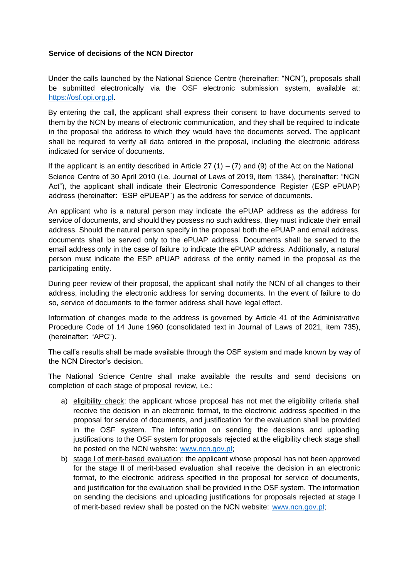## **Service of decisions of the NCN Director**

Under the calls launched by the National Science Centre (hereinafter: "NCN"), proposals shall be submitted electronically via the OSF electronic submission system, available at: [https://osf.opi.org.pl.](https://osf.opi.org.pl/) 

By entering the call, the applicant shall express their consent to have documents served to them by the NCN by means of electronic communication, and they shall be required to indicate in the proposal the address to which they would have the documents served. The applicant shall be required to verify all data entered in the proposal, including the electronic address indicated for service of documents.

If the applicant is an entity described in Article 27  $(1) - (7)$  and (9) of the Act on the National Science Centre of 30 April 2010 (i.e. Journal of Laws of 2019, item 1384), (hereinafter: "NCN Act"), the applicant shall indicate their Electronic Correspondence Register (ESP ePUAP) address (hereinafter: "ESP ePUEAP") as the address for service of documents.

An applicant who is a natural person may indicate the ePUAP address as the address for service of documents, and should they possess no such address, they must indicate their email address. Should the natural person specify in the proposal both the ePUAP and email address, documents shall be served only to the ePUAP address. Documents shall be served to the email address only in the case of failure to indicate the ePUAP address. Additionally, a natural person must indicate the ESP ePUAP address of the entity named in the proposal as the participating entity.

During peer review of their proposal, the applicant shall notify the NCN of all changes to their address, including the electronic address for serving documents. In the event of failure to do so, service of documents to the former address shall have legal effect.

Information of changes made to the address is governed by Article 41 of the Administrative Procedure Code of 14 June 1960 (consolidated text in Journal of Laws of 2021, item 735), (hereinafter: "APC").

The call's results shall be made available through the OSF system and made known by way of the NCN Director's decision.

The National Science Centre shall make available the results and send decisions on completion of each stage of proposal review, i.e.:

- a) eligibility check: the applicant whose proposal has not met the eligibility criteria shall receive the decision in an electronic format, to the electronic address specified in the proposal for service of documents, and justification for the evaluation shall be provided in the OSF system. The information on sending the decisions and uploading justifications to the OSF system for proposals rejected at the eligibility check stage shall be posted on the NCN website: [www.ncn.gov.pl;](http://www.ncn.gov.pl/)
- b) stage I of merit-based evaluation: the applicant whose proposal has not been approved for the stage II of merit-based evaluation shall receive the decision in an electronic format, to the electronic address specified in the proposal for service of documents, and justification for the evaluation shall be provided in the OSF system. The information on sending the decisions and uploading justifications for proposals rejected at stage I of merit-based review shall be posted on the NCN website: [www.ncn.gov.pl;](http://www.ncn.gov.pl/)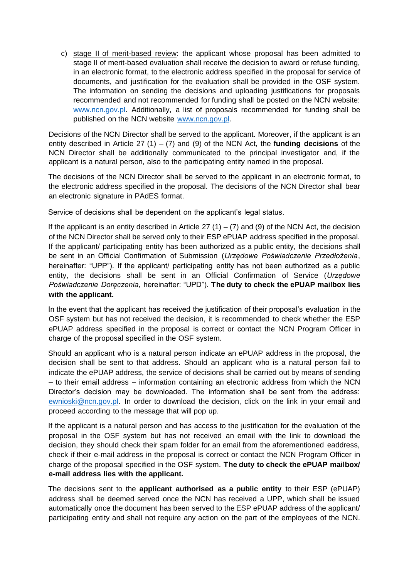c) stage II of merit-based review: the applicant whose proposal has been admitted to stage II of merit-based evaluation shall receive the decision to award or refuse funding, in an electronic format, to the electronic address specified in the proposal for service of documents, and justification for the evaluation shall be provided in the OSF system. The information on sending the decisions and uploading justifications for proposals recommended and not recommended for funding shall be posted on the NCN website: [www.ncn.gov.pl.](http://www.ncn.gov.pl/) Additionally, a list of proposals recommended for funding shall be published on the NCN website [www.ncn.gov.pl.](http://www.ncn.gov.pl/) 

Decisions of the NCN Director shall be served to the applicant. Moreover, if the applicant is an entity described in Article 27 (1) – (7) and (9) of the NCN Act, the **funding decisions** of the NCN Director shall be additionally communicated to the principal investigator and, if the applicant is a natural person, also to the participating entity named in the proposal.

The decisions of the NCN Director shall be served to the applicant in an electronic format, to the electronic address specified in the proposal. The decisions of the NCN Director shall bear an electronic signature in PAdES format.

Service of decisions shall be dependent on the applicant's legal status.

If the applicant is an entity described in Article 27  $(1) - (7)$  and (9) of the NCN Act, the decision of the NCN Director shall be served only to their ESP ePUAP address specified in the proposal. If the applicant/ participating entity has been authorized as a public entity, the decisions shall be sent in an Official Confirmation of Submission (*Urzędowe Poświadczenie Przedłożenia*, hereinafter: "UPP"). If the applicant/ participating entity has not been authorized as a public entity, the decisions shall be sent in an Official Confirmation of Service (*Urzędowe Poświadczenie Doręczenia*, hereinafter: "UPD"). **The duty to check the ePUAP mailbox lies with the applicant.** 

In the event that the applicant has received the justification of their proposal's evaluation in the OSF system but has not received the decision, it is recommended to check whether the ESP ePUAP address specified in the proposal is correct or contact the NCN Program Officer in charge of the proposal specified in the OSF system.

Should an applicant who is a natural person indicate an ePUAP address in the proposal, the decision shall be sent to that address. Should an applicant who is a natural person fail to indicate the ePUAP address, the service of decisions shall be carried out by means of sending – to their email address – information containing an electronic address from which the NCN Director's decision may be downloaded. The information shall be sent from the address: ewnioski@ncn.gov.pl. In order to download the decision, click on the link in your email and proceed according to the message that will pop up.

If the applicant is a natural person and has access to the justification for the evaluation of the proposal in the OSF system but has not received an email with the link to download the decision, they should check their spam folder for an email from the aforementioned eaddress, check if their e-mail address in the proposal is correct or contact the NCN Program Officer in charge of the proposal specified in the OSF system. **The duty to check the ePUAP mailbox/ e-mail address lies with the applicant.** 

The decisions sent to the **applicant authorised as a public entity** to their ESP (ePUAP) address shall be deemed served once the NCN has received a UPP, which shall be issued automatically once the document has been served to the ESP ePUAP address of the applicant/ participating entity and shall not require any action on the part of the employees of the NCN.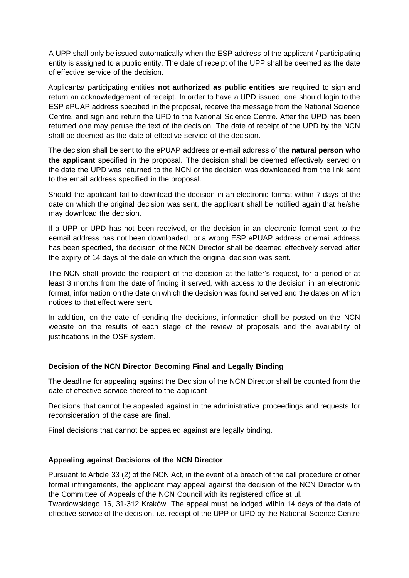A UPP shall only be issued automatically when the ESP address of the applicant / participating entity is assigned to a public entity. The date of receipt of the UPP shall be deemed as the date of effective service of the decision.

Applicants/ participating entities **not authorized as public entities** are required to sign and return an acknowledgement of receipt. In order to have a UPD issued, one should login to the ESP ePUAP address specified in the proposal, receive the message from the National Science Centre, and sign and return the UPD to the National Science Centre. After the UPD has been returned one may peruse the text of the decision. The date of receipt of the UPD by the NCN shall be deemed as the date of effective service of the decision.

The decision shall be sent to the ePUAP address or e-mail address of the **natural person who the applicant** specified in the proposal. The decision shall be deemed effectively served on the date the UPD was returned to the NCN or the decision was downloaded from the link sent to the email address specified in the proposal.

Should the applicant fail to download the decision in an electronic format within 7 days of the date on which the original decision was sent, the applicant shall be notified again that he/she may download the decision.

If a UPP or UPD has not been received, or the decision in an electronic format sent to the eemail address has not been downloaded, or a wrong ESP ePUAP address or email address has been specified, the decision of the NCN Director shall be deemed effectively served after the expiry of 14 days of the date on which the original decision was sent.

The NCN shall provide the recipient of the decision at the latter's request, for a period of at least 3 months from the date of finding it served, with access to the decision in an electronic format, information on the date on which the decision was found served and the dates on which notices to that effect were sent.

In addition, on the date of sending the decisions, information shall be posted on the NCN website on the results of each stage of the review of proposals and the availability of justifications in the OSF system.

## **Decision of the NCN Director Becoming Final and Legally Binding**

The deadline for appealing against the Decision of the NCN Director shall be counted from the date of effective service thereof to the applicant .

Decisions that cannot be appealed against in the administrative proceedings and requests for reconsideration of the case are final.

Final decisions that cannot be appealed against are legally binding.

## **Appealing against Decisions of the NCN Director**

Pursuant to Article 33 (2) of the NCN Act, in the event of a breach of the call procedure or other formal infringements, the applicant may appeal against the decision of the NCN Director with the Committee of Appeals of the NCN Council with its registered office at ul.

Twardowskiego 16, 31-312 Kraków. The appeal must be lodged within 14 days of the date of effective service of the decision, i.e. receipt of the UPP or UPD by the National Science Centre